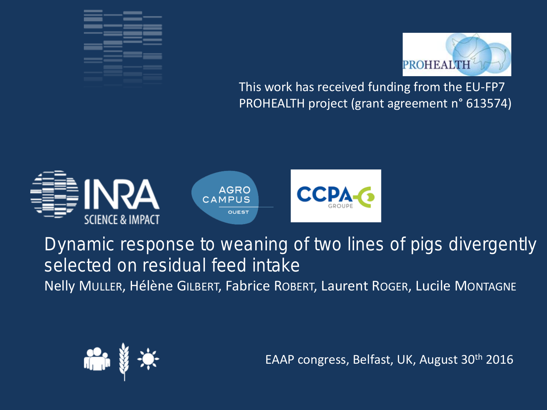



This work has received funding from the EU-FP7 PROHEALTH project (grant agreement n° 613574)



Dynamic response to weaning of two lines of pigs divergently selected on residual feed intake Nelly MULLER, Hélène GILBERT, Fabrice ROBERT, Laurent ROGER, Lucile MONTAGNE



EAAP congress, Belfast, UK, August 30th 2016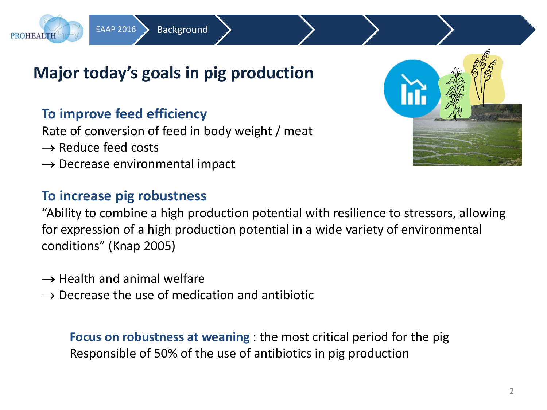

EAAP 2016 > Background

#### **To improve feed efficiency**

Rate of conversion of feed in body weight / meat

 $\rightarrow$  Reduce feed costs

**PROHEALTH** 

 $\rightarrow$  Decrease environmental impact

#### **To increase pig robustness**

"Ability to combine a high production potential with resilience to stressors, allowing for expression of a high production potential in a wide variety of environmental conditions" (Knap 2005)

- $\rightarrow$  Health and animal welfare
- $\rightarrow$  Decrease the use of medication and antibiotic

**Focus on robustness at weaning** : the most critical period for the pig Responsible of 50% of the use of antibiotics in pig production

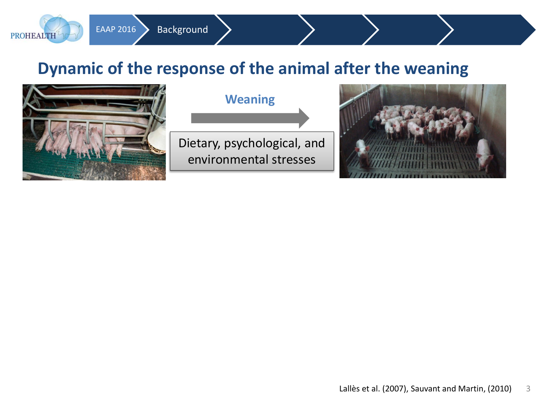# **Dynamic of the response of the animal after the weaning**



**PROHEALTH** 

EAAP 2016 > Background

#### **Weaning**

Dietary, psychological, and environmental stresses

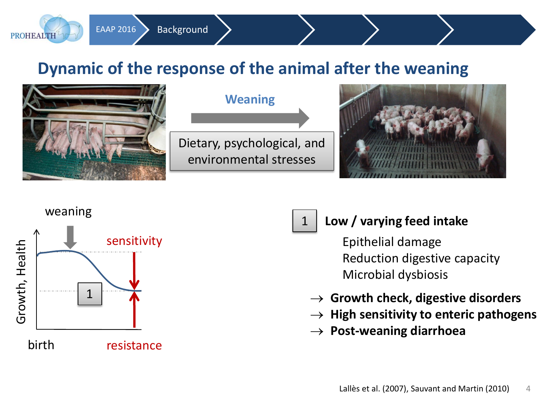# **Dynamic of the response of the animal after the weaning**



**PROHEALTH** 

EAAP 2016 > Background

#### **Weaning**

Dietary, psychological, and environmental stresses

1



# weaning sensitivity Growth, Health Growth, Health  $1 \overline{A}$ birth resistance

#### **Low / varying feed intake**

Epithelial damage Reduction digestive capacity Microbial dysbiosis

- → **Growth check, digestive disorders**
- → **High sensitivity to enteric pathogens**
- → **Post-weaning diarrhoea**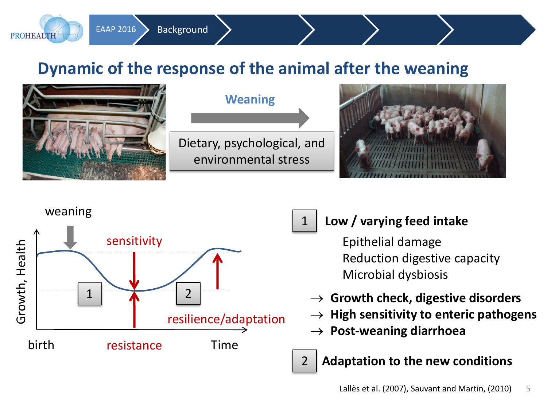# **Dynamic of the response of the animal after the weaning**



1



EAAP 2016 > Background

**PROHEALTH** 

#### **Low / varying feed intake**

Epithelial damage Reduction digestive capacity Microbial dysbiosis

- → **Growth check, digestive disorders**
- **High sensitivity to enteric pathogens**
- → **Post-weaning diarrhoea**

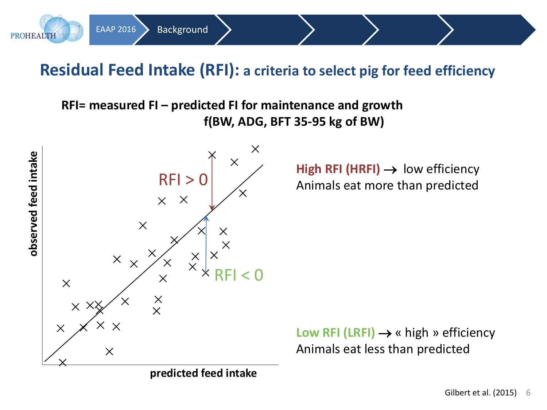## **Residual Feed Intake (RFI): a criteria to select pig for feed efficiency**

**RFI= measured FI – predicted FI for maintenance and growth f(BW, ADG, BFT 35-95 kg of BW)**



EAAP 2016 Background

**predicted feed intake**

**High RFI (HRFI)** →low efficiency Animals eat more than predicted

**Low RFI (LRFI)** → « high » efficiency Animals eat less than predicted

**PROHEALTH**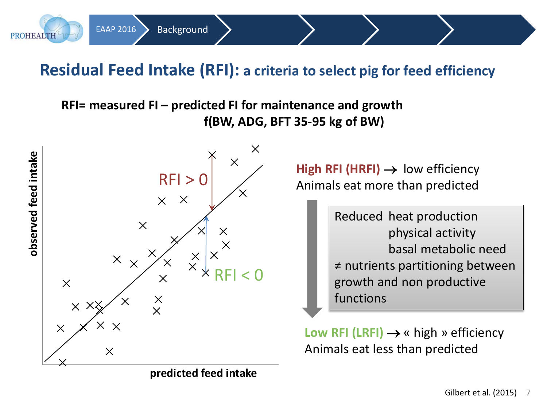## **Residual Feed Intake (RFI): a criteria to select pig for feed efficiency**

**RFI= measured FI – predicted FI for maintenance and growth f(BW, ADG, BFT 35-95 kg of BW)**



EAAP 2016 > Background

**predicted feed intake**

**High RFI (HRFI)** →low efficiency Animals eat more than predicted

> Reduced heat production physical activity basal metabolic need ≠ nutrients partitioning between growth and non productive functions

**Low RFI (LRFI)** → « high » efficiency Animals eat less than predicted

**PROHEALTH**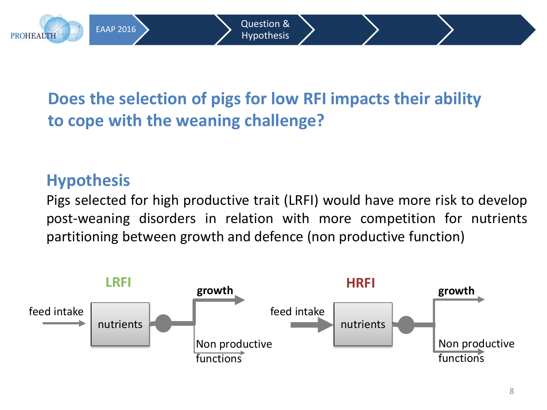# **Does the selection of pigs for low RFI impacts their ability to cope with the weaning challenge?**

# **Hypothesis**

**PROHEALTH** 

Pigs selected for high productive trait (LRFI) would have more risk to develop post-weaning disorders in relation with more competition for nutrients partitioning between growth and defence (non productive function)

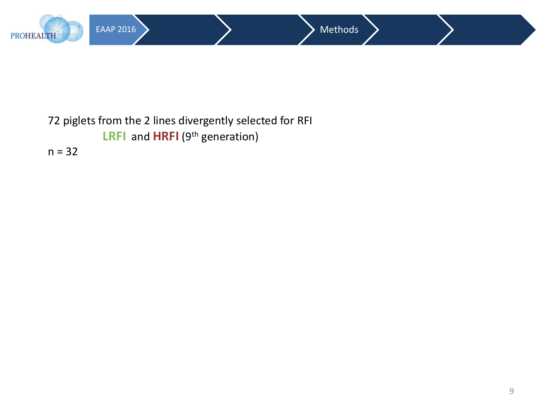

#### 72 piglets from the 2 lines divergently selected for RFI **LRFI** and **HRFI** (9<sup>th</sup> generation)  $n = 32$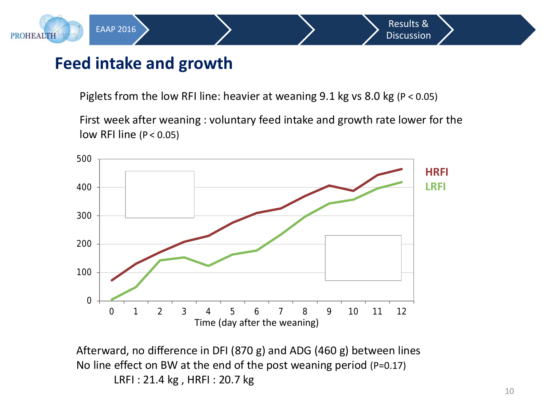

**PROHEALTH** 

Piglets from the low RFI line: heavier at weaning 9.1 kg vs 8.0 kg (P < 0.05)

EAAP 2016  $\left\{$  Results &

Discussion

First week after weaning : voluntary feed intake and growth rate lower for the low RFI line ( $P < 0.05$ )



Afterward, no difference in DFI (870 g) and ADG (460 g) between lines No line effect on BW at the end of the post weaning period (P=0.17) LRFI : 21.4 kg , HRFI : 20.7 kg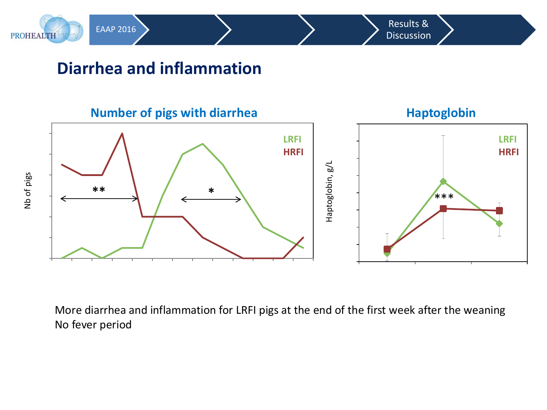

## **Diarrhea and inflammation**



More diarrhea and inflammation for LRFI pigs at the end of the first week after the weaning No fever period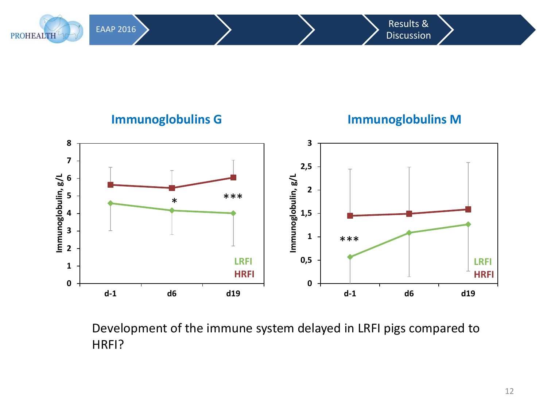EAAP 2016 Results & **Discussion** 





Development of the immune system delayed in LRFI pigs compared to HRFI?

#### 12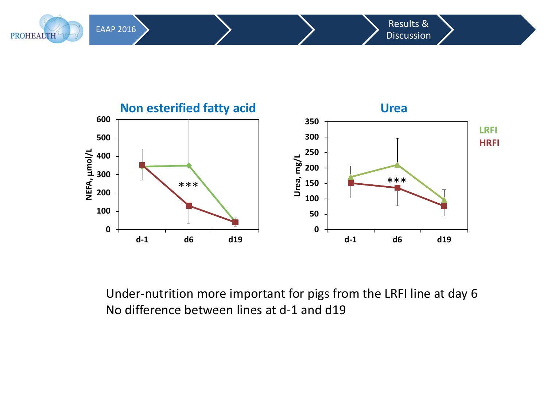

**PROHEALTH** 



Under-nutrition more important for pigs from the LRFI line at day 6 No difference between lines at d-1 and d19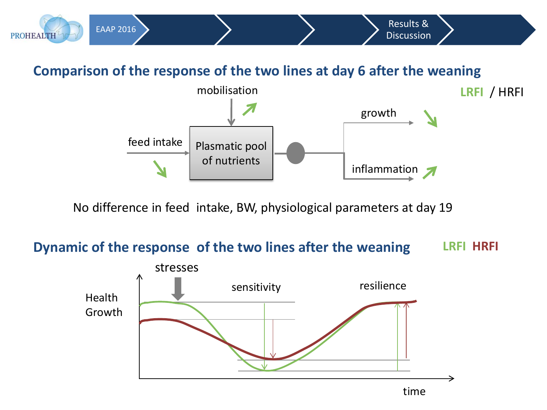

No difference in feed intake, BW, physiological parameters at day 19

#### **Dynamic of the response of the two lines after the weaning LRFI HRFI**